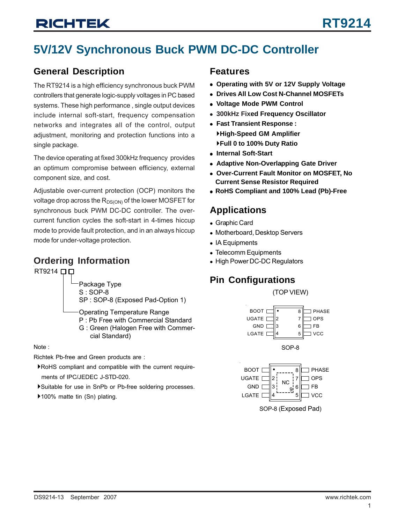## **5V/12V Synchronous Buck PWM DC-DC Controller**

### **General Description**

The RT9214 is a high efficiency synchronous buck PWM controllers that generate logic-supply voltages in PC based systems. These high performance , single output devices include internal soft-start, frequency compensation networks and integrates all of the control, output adjustment, monitoring and protection functions into a single package.

The device operating at fixed 300kHz frequency provides an optimum compromise between efficiency, external component size, and cost.

Adjustable over-current protection (OCP) monitors the voltage drop across the  $R_{DS(ON)}$  of the lower MOSFET for synchronous buck PWM DC-DC controller. The overcurrent function cycles the soft-start in 4-times hiccup mode to provide fault protection, and in an always hiccup mode for under-voltage protection.

### **Ordering Information**

RT9214  $\square$ 



Operating Temperature Range

- P : Pb Free with Commercial Standard
- G : Green (Halogen Free with Commer cial Standard)

Richtek Pb-free and Green products are :

- `RoHS compliant and compatible with the current require ments of IPC/JEDEC J-STD-020.
- `Suitable for use in SnPb or Pb-free soldering processes.
- ▶100% matte tin (Sn) plating.

### **Features**

- <sup>z</sup> **Operating with 5V or 12V Supply Voltage**
- **Drives All Low Cost N-Channel MOSFETs**
- <sup>z</sup> **Voltage Mode PWM Control**
- <sup>z</sup> **300kHz Fixed Frequency Oscillator**
- <sup>z</sup> **Fast Transient Response :** `**High-Speed GM Amplifier** `**Full 0 to 100% Duty Ratio**
- **Internal Soft-Start**
- **Adaptive Non-Overlapping Gate Driver**
- <sup>z</sup> **Over-Current Fault Monitor on MOSFET, No Current Sense Resistor Required**
- <sup>z</sup> **RoHS Compliant and 100% Lead (Pb)-Free**

## **Applications**

- Graphic Card
- Motherboard, Desktop Servers
- $\bullet$  IA Equipments
- Telecomm Equipments
- High Power DC-DC Regulators

## **Pin Configurations**

(TOP VIEW)



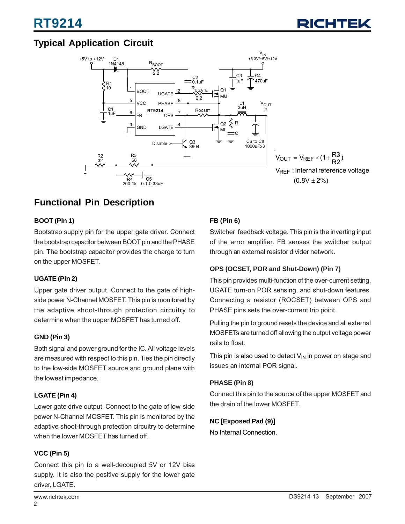## **Typical Application Circuit**



## **Functional Pin Description**

### **BOOT (Pin 1)**

Bootstrap supply pin for the upper gate driver. Connect the bootstrap capacitor between BOOT pin and the PHASE pin. The bootstrap capacitor provides the charge to turn on the upper MOSFET.

### **UGATE (Pin 2)**

Upper gate driver output. Connect to the gate of highside power N-Channel MOSFET. This pin is monitored by the adaptive shoot-through protection circuitry to determine when the upper MOSFET has turned off.

### **GND (Pin 3)**

Both signal and power ground for the IC. All voltage levels are measured with respect to this pin. Ties the pin directly to the low-side MOSFET source and ground plane with the lowest impedance.

### **LGATE (Pin 4)**

Lower gate drive output. Connect to the gate of low-side power N-Channel MOSFET. This pin is monitored by the adaptive shoot-through protection circuitry to determine when the lower MOSFET has turned off.

### **VCC (Pin 5)**

Connect this pin to a well-decoupled 5V or 12V bias supply. It is also the positive supply for the lower gate driver, LGATE.

### **FB (Pin 6)**

Switcher feedback voltage. This pin is the inverting input of the error amplifier. FB senses the switcher output through an external resistor divider network.

### **OPS (OCSET, POR and Shut-Down) (Pin 7)**

This pin provides multi-function of the over-current setting, UGATE turn-on POR sensing, and shut-down features. Connecting a resistor (ROCSET) between OPS and PHASE pins sets the over-current trip point.

Pulling the pin to ground resets the device and all external MOSFETs are turned off allowing the output voltage power rails to float.

This pin is also used to detect  $V_{IN}$  in power on stage and issues an internal POR signal.

### **PHASE (Pin 8)**

Connect this pin to the source of the upper MOSFET and the drain of the lower MOSFET.

### **NC [Exposed Pad (9)]**

No Internal Connection.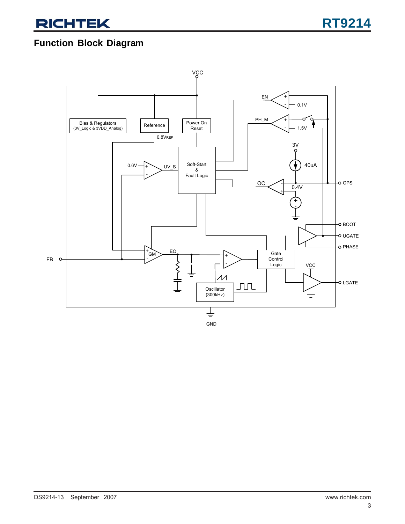### **Function Block Diagram**

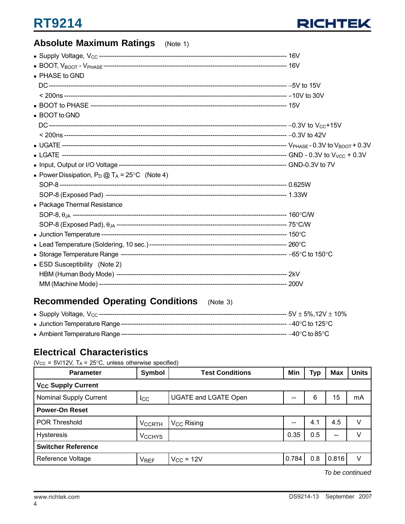## **Absolute Maximum Ratings** (Note 1)

| • PHASE to GND                                          |  |
|---------------------------------------------------------|--|
|                                                         |  |
|                                                         |  |
|                                                         |  |
| • BOOT to GND                                           |  |
|                                                         |  |
|                                                         |  |
|                                                         |  |
|                                                         |  |
|                                                         |  |
| • Power Dissipation, $P_D @ T_A = 25^{\circ}C$ (Note 4) |  |
|                                                         |  |
|                                                         |  |
| • Package Thermal Resistance                            |  |
|                                                         |  |
|                                                         |  |
|                                                         |  |
|                                                         |  |
|                                                         |  |
| • ESD Susceptibility (Note 2)                           |  |
|                                                         |  |
|                                                         |  |

## **Recommended Operating Conditions** (Note 3)

### **Electrical Characteristics**

( $V_{CC}$  = 5V/12V, T<sub>A</sub> = 25°C, unless otherwise specified)

| <b>Parameter</b>                     | Symbol                                      | <b>Test Conditions</b> |       | Typ | <b>Max</b> | <b>Units</b> |  |  |
|--------------------------------------|---------------------------------------------|------------------------|-------|-----|------------|--------------|--|--|
| <b>V<sub>CC</sub> Supply Current</b> |                                             |                        |       |     |            |              |  |  |
| <b>Nominal Supply Current</b>        | <b>UGATE and LGATE Open</b><br>$_{\rm lcc}$ |                        |       | 6   | 15         | mA           |  |  |
| <b>Power-On Reset</b>                |                                             |                        |       |     |            |              |  |  |
| <b>POR Threshold</b>                 | <b>VCCRTH</b>                               | V <sub>CC</sub> Rising | $-$   | 4.1 | 4.5        | v            |  |  |
| <b>Hysteresis</b>                    | <b>V<sub>CCHYS</sub></b>                    |                        | 0.35  | 0.5 | $- -$      | V            |  |  |
| <b>Switcher Reference</b>            |                                             |                        |       |     |            |              |  |  |
| Reference Voltage                    | <b>V<sub>REF</sub></b>                      | $V_{CC}$ = 12V         | 0.784 | 0.8 | 0.816      | V            |  |  |

*To be continued*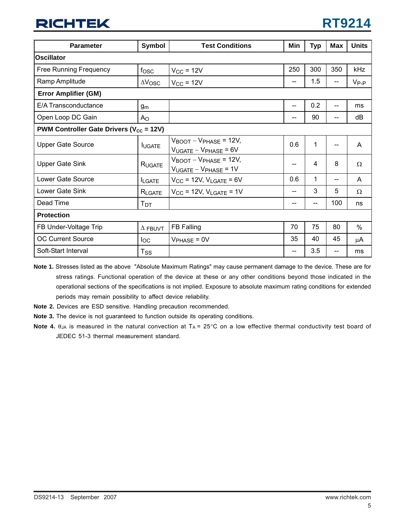| <b>Parameter</b>                                               | Symbol                    | <b>Test Conditions</b>                                                      | Min                    | <b>Typ</b> | <b>Max</b> | <b>Units</b> |
|----------------------------------------------------------------|---------------------------|-----------------------------------------------------------------------------|------------------------|------------|------------|--------------|
| <b>Oscillator</b>                                              |                           |                                                                             |                        |            |            |              |
| <b>Free Running Frequency</b>                                  | f <sub>OSC</sub>          | $V_{\text{CC}}$ = 12V                                                       | 250                    | 300        | 350        | kHz          |
| Ramp Amplitude                                                 | $\Delta V$ <sub>OSC</sub> | $V_{CC}$ = 12V                                                              | --                     | 1.5        |            | $V_{P-P}$    |
| <b>Error Amplifier (GM)</b>                                    |                           |                                                                             |                        |            |            |              |
| E/A Transconductance                                           | g <sub>m</sub>            |                                                                             | $-$                    | 0.2        | --         | ms           |
| Open Loop DC Gain                                              | A <sub>O</sub>            |                                                                             | $-$                    | 90         |            | dB           |
| <b>PWM Controller Gate Drivers (<math>V_{cc}</math> = 12V)</b> |                           |                                                                             |                        |            |            |              |
| <b>Upper Gate Source</b>                                       | <b>IUGATE</b>             | $V_{\text{BOOT}} - V_{\text{PHASE}} = 12V,$<br>$V_{UGATE} - V_{PHASE} = 6V$ | 0.6                    | 1          | --         | A            |
| <b>Upper Gate Sink</b>                                         | RUGATE                    | $V_{\text{BOOT}} - V_{\text{PHASE}} = 12V,$<br>$V_{UGATE} - V_{PHASE} = 1V$ | $-$                    | 4          | 8          | $\Omega$     |
| Lower Gate Source                                              | <b>ILGATE</b>             | $V_{CC}$ = 12V, $V_{LGATE}$ = 6V                                            | 0.6                    | 1          | --         | A            |
| Lower Gate Sink                                                | RLGATE                    | $V_{CC}$ = 12V, $V_{LGATE}$ = 1V                                            | $\qquad \qquad \cdots$ | 3          | 5          | $\Omega$     |
| Dead Time                                                      | Тот                       |                                                                             | --                     | --         | 100        | ns           |
| <b>Protection</b>                                              |                           |                                                                             |                        |            |            |              |
| FB Under-Voltage Trip                                          | $\Delta$ FBUVT            | <b>FB Falling</b>                                                           | 70                     | 75         | 80         | $\%$         |
| <b>OC Current Source</b>                                       | loc.                      | $V_{PHASE} = 0V$                                                            | 35                     | 40         | 45         | μA           |
| Soft-Start Interval                                            | $T_{\rm SS}$              |                                                                             | --                     | 3.5        |            | ms           |

**Note 1.** Stresses listed as the above "Absolute Maximum Ratings" may cause permanent damage to the device. These are for stress ratings. Functional operation of the device at these or any other conditions beyond those indicated in the operational sections of the specifications is not implied. Exposure to absolute maximum rating conditions for extended periods may remain possibility to affect device reliability.

- **Note 2.** Devices are ESD sensitive. Handling precaution recommended.
- **Note 3.** The device is not guaranteed to function outside its operating conditions.
- **Note 4.**  $\theta_{JA}$  is measured in the natural convection at  $TA = 25^{\circ}C$  on a low effective thermal conductivity test board of JEDEC 51-3 thermal measurement standard.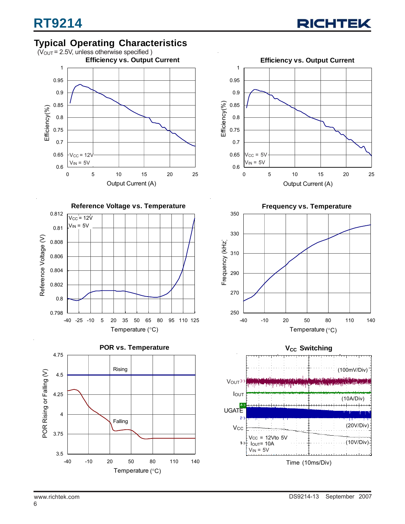## **Typical Operating Characteristics**









**Frequency vs. Temperature** 350 330 Frequency (kHz) Frequency (KHz) 310 290 270 250 -40 -10 20 50 80 110 140 Temperature (°C)

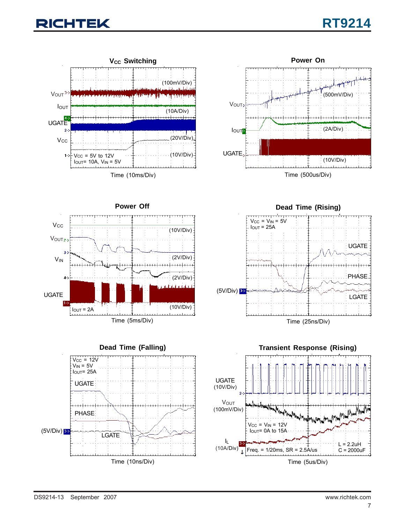





**Power Off**  $V_{\text{CC}}$ (10V/Div) VOUT<sub>2-2</sub>  $3-$ (2V/Div) VIN <del>. . . . . . . . .</del> (2V/Div)  $4-$ UGATE  $1 - \geq$ (10V/Div)  $I_{\text{OUT}} = 2A$  $+1+$ Time (5ms/Div)







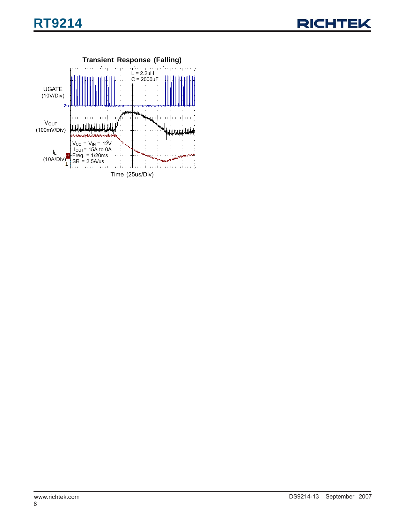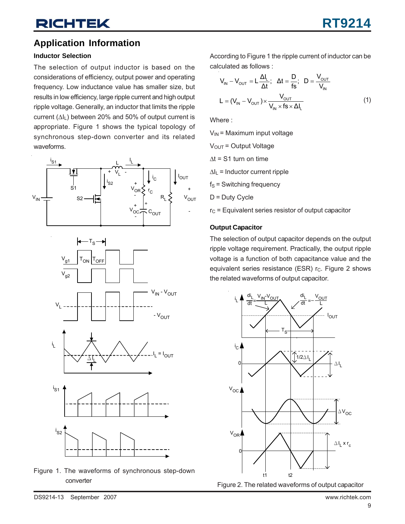## **Application Information**

### **Inductor Selection**

The selection of output inductor is based on the considerations of efficiency, output power and operating frequency. Low inductance value has smaller size, but results in low efficiency, large ripple current and high output ripple voltage. Generally, an inductor that limits the ripple current (ΔIL) between 20% and 50% of output current is appropriate. Figure 1 shows the typical topology of synchronous step-down converter and its related waveforms.











Figure 1. The waveforms of synchronous step-down converter

According to Figure 1 the ripple current of inductor can be calculated as follows :

$$
V_{IN} - V_{OUT} = L \frac{\Delta l_L}{\Delta t}; \quad \Delta t = \frac{D}{fs}; \quad D = \frac{V_{OUT}}{V_{IN}}
$$

$$
L = (V_{IN} - V_{OUT}) \times \frac{V_{OUT}}{V_{IN} \times fs \times \Delta l_L}
$$
(1)

Where :

 $V_{IN}$  = Maximum input voltage

 $V<sub>OUT</sub> = Output Voltage$ 

 $\Delta t$  = S1 turn on time

 $\Delta I_L$  = Inductor current ripple

 $f_S$  = Switching frequency

 $D = Duty$  Cycle

 $r<sub>C</sub>$  = Equivalent series resistor of output capacitor

### **Output Capacitor**

The selection of output capacitor depends on the output ripple voltage requirement. Practically, the output ripple voltage is a function of both capacitance value and the equivalent series resistance (ESR)  $r_c$ . Figure 2 shows the related waveforms of output capacitor.



Figure 2. The related waveforms of output capacitor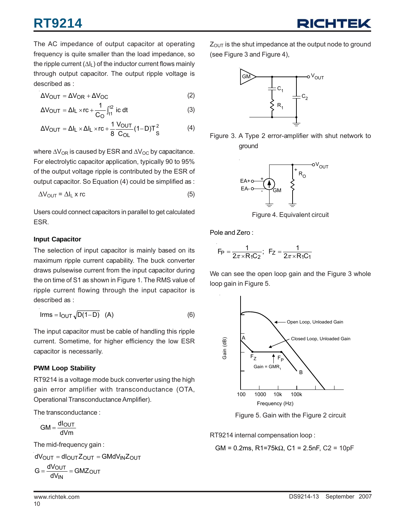The AC impedance of output capacitor at operating frequency is quite smaller than the load impedance, so the ripple current  $(\Delta I_L)$  of the inductor current flows mainly through output capacitor. The output ripple voltage is described as :

$$
\Delta V_{OUT} = \Delta V_{OR} + \Delta V_{OC}
$$
 (2)

$$
\Delta V_{\text{OUT}} = \Delta I_{\text{L}} \times \text{rc} + \frac{1}{C_{\text{O}}} \int_{t1}^{t2} \text{ ic dt} \tag{3}
$$

$$
\Delta V_{\text{OUT}} = \Delta I_{\text{L}} \times \Delta I_{\text{L}} \times \text{rc} + \frac{1}{8} \frac{V_{\text{OUT}}}{C_{\text{OL}}} (1 - D) T_{\text{S}}^2 \tag{4}
$$

where  $\Delta V_{OR}$  is caused by ESR and  $\Delta V_{OC}$  by capacitance. For electrolytic capacitor application, typically 90 to 95% of the output voltage ripple is contributed by the ESR of output capacitor. So Equation (4) could be simplified as :

$$
\Delta V_{\text{OUT}} = \Delta I_{\text{L}} \times r\text{c}
$$
 (5)

Users could connect capacitors in parallel to get calculated ESR.

### **Input Capacitor**

The selection of input capacitor is mainly based on its maximum ripple current capability. The buck converter draws pulsewise current from the input capacitor during the on time of S1 as shown in Figure 1. The RMS value of ripple current flowing through the input capacitor is described as :

$$
Irms = I_{OUT} \sqrt{D(1-D)} \quad (A)
$$
 (6)

The input capacitor must be cable of handling this ripple current. Sometime, for higher efficiency the low ESR capacitor is necessarily.

### **PWM Loop Stability**

RT9214 is a voltage mode buck converter using the high gain error amplifier with transconductance (OTA, Operational Transconductance Amplifier).

The transconductance :

dVm  $GM = \frac{dI_{OUT}}{dt}$ 

The mid-frequency gain :

$$
dV_{OUT} = dl_{OUT} Z_{OUT} = GMdV_{IN} Z_{OUT}
$$

$$
G = \frac{dV_{OUT}}{dV_{IN}} = GMZ_{OUT}
$$

 $Z_{\text{OUT}}$  is the shut impedance at the output node to ground (see Figure 3 and Figure 4),



Figure 3. A Type 2 error-amplifier with shut network to ground



Figure 4. Equivalent circuit

Pole and Zero :

$$
F_P = \frac{1}{2\pi \times R_1 C_2}
$$
;  $F_Z = \frac{1}{2\pi \times R_1 C_1}$ 

We can see the open loop gain and the Figure 3 whole loop gain in Figure 5.



Figure 5. Gain with the Figure 2 circuit

RT9214 internal compensation loop :

$$
GM = 0.2ms
$$
,  $R1 = 75k\Omega$ ,  $C1 = 2.5nF$ ,  $C2 = 10pF$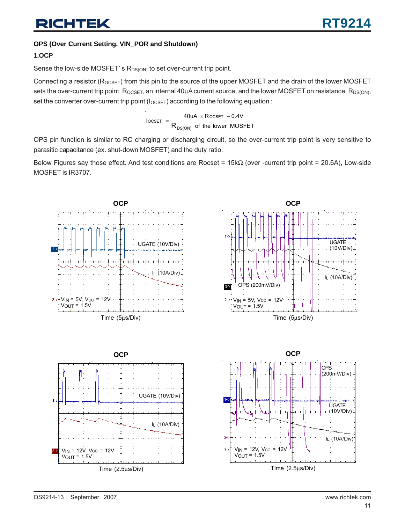### **OPS (Over Current Setting, VIN\_POR and Shutdown)**

### **1.OCP**

Sense the low-side MOSFET's  $R_{DS(ON)}$  to set over-current trip point.

Connecting a resistor ( $R_{OCSET}$ ) from this pin to the source of the upper MOSFET and the drain of the lower MOSFET sets the over-current trip point. R<sub>OCSET</sub>, an internal 40μA current source, and the lower MOSFET on resistance, R<sub>DS(ON)</sub>, set the converter over-current trip point  $(I<sub>OSET</sub>)$  according to the following equation :

$$
I_{OCSET} = \frac{40uA \times R_{OCSET} - 0.4V}{R_{DS(ON)}}
$$
 of the lower MOSFET

OPS pin function is similar to RC charging or discharging circuit, so the over-current trip point is very sensitive to parasitic capacitance (ex. shut-down MOSFET) and the duty ratio.

Below Figures say those effect. And test conditions are Rocset = 15kΩ (over -current trip point = 20.6A), Low-side MOSFET is IR3707.

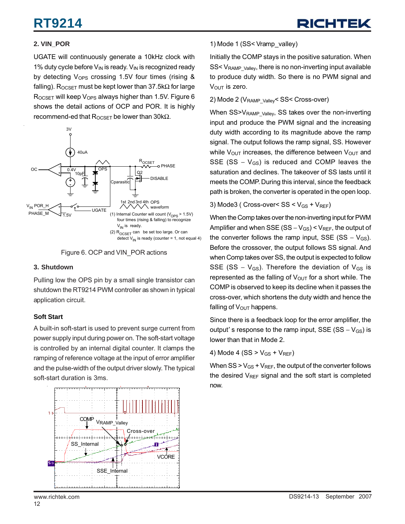### **2. VIN\_POR**

UGATE will continuously generate a 10kHz clock with 1% duty cycle before  $V_{\text{IN}}$  is ready.  $V_{\text{IN}}$  is recognized ready by detecting  $V_{OPS}$  crossing 1.5V four times (rising  $&$ falling). R<sub>OCSET</sub> must be kept lower than 37.5k $\Omega$  for large  $R_{OCSET}$  will keep  $V_{OPS}$  always higher than 1.5V. Figure 6 shows the detail actions of OCP and POR. It is highly recommend-ed that  $R_{OCSET}$  be lower than 30k $\Omega$ .





### **3. Shutdown**

Pulling low the OPS pin by a small single transistor can shutdown the RT9214 PWM controller as shown in typical application circuit.

### **Soft Start**

A built-in soft-start is used to prevent surge current from power supply input during power on. The soft-start voltage is controlled by an internal digital counter. It clamps the ramping of reference voltage at the input of error amplifier and the pulse-width of the output driver slowly. The typical soft-start duration is 3ms.



### 1) Mode 1 (SS< Vramp\_valley)

Initially the COMP stays in the positive saturation. When  $SS < V_{\text{RAMP-ValueV}}$ , there is no non-inverting input available to produce duty width. So there is no PWM signal and  $V_{\text{OUT}}$  is zero.

#### 2) Mode 2 (V<sub>RAMP\_Valley</sub>< SS< Cross-over)

When SS>V<sub>RAMP</sub> <sub>Valley</sub>, SS takes over the non-inverting input and produce the PWM signal and the increasing duty width according to its magnitude above the ramp signal. The output follows the ramp signal, SS. However while  $V_{\text{OUT}}$  increases, the difference between  $V_{\text{OUT}}$  and SSE (SS  $-$  V<sub>GS</sub>) is reduced and COMP leaves the saturation and declines. The takeover of SS lasts until it meets the COMP. During this interval, since the feedback path is broken, the converter is operated in the open loop.

#### 3) Mode3 ( Cross-over<  $SS < V_{GS} + V_{REF}$ )

When the Comp takes over the non-inverting input for PWM Amplifier and when SSE (SS  $-V_{GS}$ ) < V<sub>REF</sub>, the output of the converter follows the ramp input, SSE (SS –  $V_{GS}$ ). Before the crossover, the output follows SS signal. And when Comp takes over SS, the output is expected to follow SSE (SS –  $V_{GS}$ ). Therefore the deviation of  $V_{GS}$  is represented as the falling of  $V_{\text{OUT}}$  for a short while. The COMP is observed to keep its decline when it passes the cross-over, which shortens the duty width and hence the falling of  $V_{\text{OUT}}$  happens.

Since there is a feedback loop for the error amplifier, the output' s response to the ramp input, SSE (SS  $-$  V<sub>GS</sub>) is lower than that in Mode 2.

4) Mode 4 
$$
(SS > V_{GS} + V_{REF})
$$

When  $SS > V_{GS} + V_{REF}$ , the output of the converter follows the desired  $V_{RFF}$  signal and the soft start is completed now.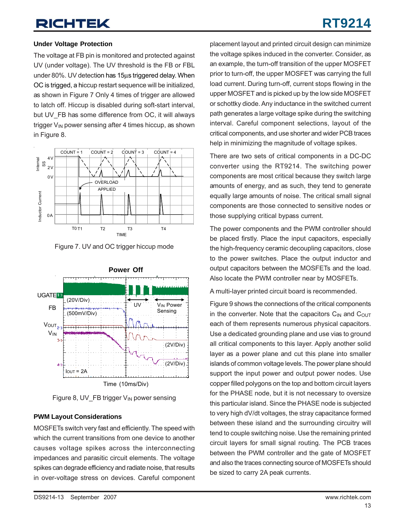# **RT9214**

### **Under Voltage Protection**

The voltage at FB pin is monitored and protected against UV (under voltage). The UV threshold is the FB or FBL under 80%. UV detection has 15μs triggered delay. When OC is trigged, a hiccup restart sequence will be initialized, as shown in Figure 7 Only 4 times of trigger are allowed to latch off. Hiccup is disabled during soft-start interval, but UV\_FB has some difference from OC, it will always trigger  $V_{IN}$  power sensing after 4 times hiccup, as shown in Figure 8.



Figure 7. UV and OC trigger hiccup mode



Figure 8, UV FB trigger V<sub>IN</sub> power sensing

### **PWM Layout Considerations**

MOSFETs switch very fast and efficiently. The speed with which the current transitions from one device to another causes voltage spikes across the interconnecting impedances and parasitic circuit elements. The voltage spikes can degrade efficiency and radiate noise, that results in over-voltage stress on devices. Careful component placement layout and printed circuit design can minimize the voltage spikes induced in the converter. Consider, as an example, the turn-off transition of the upper MOSFET prior to turn-off, the upper MOSFET was carrying the full load current. During turn-off, current stops flowing in the upper MOSFET and is picked up by the low side MOSFET or schottky diode. Any inductance in the switched current path generates a large voltage spike during the switching interval. Careful component selections, layout of the critical components, and use shorter and wider PCB traces help in minimizing the magnitude of voltage spikes.

There are two sets of critical components in a DC-DC converter using the RT9214. The switching power components are most critical because they switch large amounts of energy, and as such, they tend to generate equally large amounts of noise. The critical small signal components are those connected to sensitive nodes or those supplying critical bypass current.

The power components and the PWM controller should be placed firstly. Place the input capacitors, especially the high-frequency ceramic decoupling capacitors, close to the power switches. Place the output inductor and output capacitors between the MOSFETs and the load. Also locate the PWM controller near by MOSFETs.

A multi-layer printed circuit board is recommended.

Figure 9 shows the connections of the critical components in the converter. Note that the capacitors  $C_{IN}$  and  $C_{OUT}$ each of them represents numerous physical capacitors. Use a dedicated grounding plane and use vias to ground all critical components to this layer. Apply another solid layer as a power plane and cut this plane into smaller islands of common voltage levels. The power plane should support the input power and output power nodes. Use copper filled polygons on the top and bottom circuit layers for the PHASE node, but it is not necessary to oversize this particular island. Since the PHASE node is subjected to very high dV/dt voltages, the stray capacitance formed between these island and the surrounding circuitry will tend to couple switching noise. Use the remaining printed circuit layers for small signal routing. The PCB traces between the PWM controller and the gate of MOSFET and also the traces connecting source of MOSFETs should be sized to carry 2A peak currents.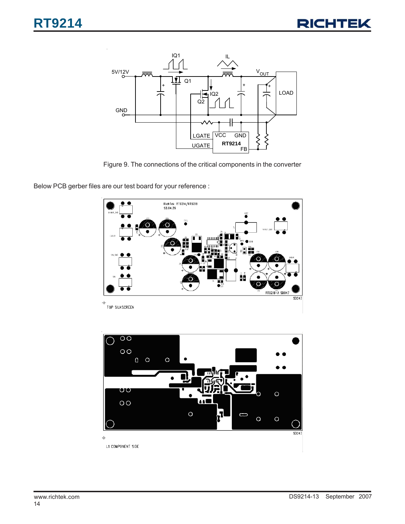

Figure 9. The connections of the critical components in the converter

Below PCB gerber files are our test board for your reference :



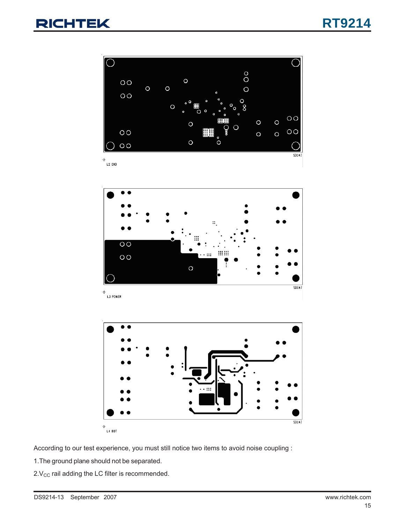

According to our test experience, you must still notice two items to avoid noise coupling :

1.The ground plane should not be separated.

 $2.V<sub>CC</sub>$  rail adding the LC filter is recommended.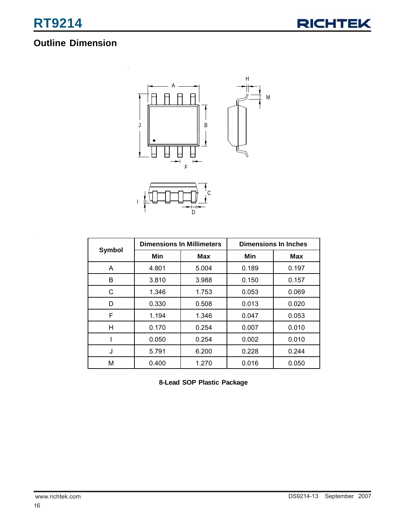## **Outline Dimension**



|        | <b>Dimensions In Millimeters</b> |       | <b>Dimensions In Inches</b> |            |  |
|--------|----------------------------------|-------|-----------------------------|------------|--|
| Symbol | Min                              | Max   | Min                         | <b>Max</b> |  |
| A      | 4.801                            | 5.004 | 0.189                       | 0.197      |  |
| B      | 3.810                            | 3.988 | 0.150                       | 0.157      |  |
| C      | 1.346                            | 1.753 | 0.053                       | 0.069      |  |
| D      | 0.330                            | 0.508 | 0.013                       | 0.020      |  |
| F      | 1.194                            | 1.346 | 0.047                       | 0.053      |  |
| н      | 0.170                            | 0.254 | 0.007                       | 0.010      |  |
|        | 0.050                            | 0.254 | 0.002                       | 0.010      |  |
| J      | 5.791                            | 6.200 | 0.228                       | 0.244      |  |
| М      | 0.400                            | 1.270 | 0.016                       | 0.050      |  |

**8-Lead SOP Plastic Package**